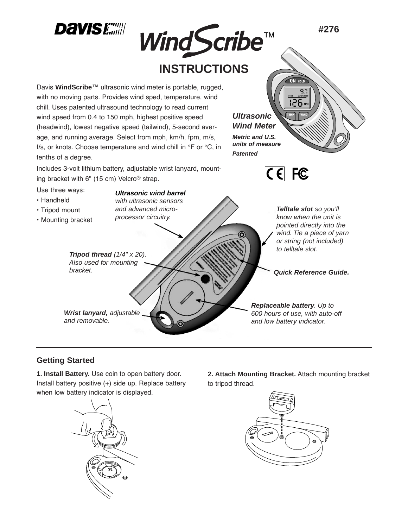

## **Getting Started**

**1. Install Battery.** Use coin to open battery door. Install battery positive (+) side up. Replace battery when low battery indicator is displayed.



**2. Attach Mounting Bracket.** Attach mounting bracket to tripod thread.

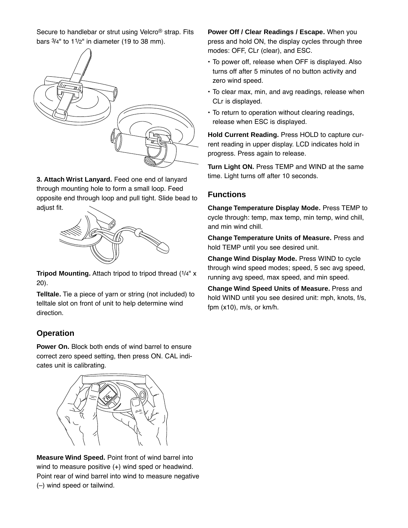Secure to handlebar or strut using Velcro® strap. Fits bars  $3/4"$  to  $11/2"$  in diameter (19 to 38 mm).



**3. Attach Wrist Lanyard.** Feed one end of lanyard through mounting hole to form a small loop. Feed opposite end through loop and pull tight. Slide bead to adjust fit.



**Tripod Mounting.** Attach tripod to tripod thread (1/4" x 20).

**Telltale.** Tie a piece of yarn or string (not included) to telltale slot on front of unit to help determine wind direction.

#### **Operation**

**Power On.** Block both ends of wind barrel to ensure correct zero speed setting, then press ON. CAL indicates unit is calibrating.



**Measure Wind Speed.** Point front of wind barrel into wind to measure positive (+) wind sped or headwind. Point rear of wind barrel into wind to measure negative (–) wind speed or tailwind.

**Power Off / Clear Readings / Escape.** When you press and hold ON, the display cycles through three modes: OFF, CLr (clear), and ESC.

- To power off, release when OFF is displayed. Also turns off after 5 minutes of no button activity and zero wind speed.
- To clear max, min, and avg readings, release when CLr is displayed.
- To return to operation without clearing readings, release when ESC is displayed.

**Hold Current Reading.** Press HOLD to capture current reading in upper display. LCD indicates hold in progress. Press again to release.

**Turn Light ON.** Press TEMP and WIND at the same time. Light turns off after 10 seconds.

#### **Functions**

**Change Temperature Display Mode.** Press TEMP to cycle through: temp, max temp, min temp, wind chill, and min wind chill.

**Change Temperature Units of Measure.** Press and hold TEMP until you see desired unit.

**Change Wind Display Mode.** Press WIND to cycle through wind speed modes; speed, 5 sec avg speed, running avg speed, max speed, and min speed.

**Change Wind Speed Units of Measure.** Press and hold WIND until you see desired unit: mph, knots, f/s, fpm (x10), m/s, or km/h.